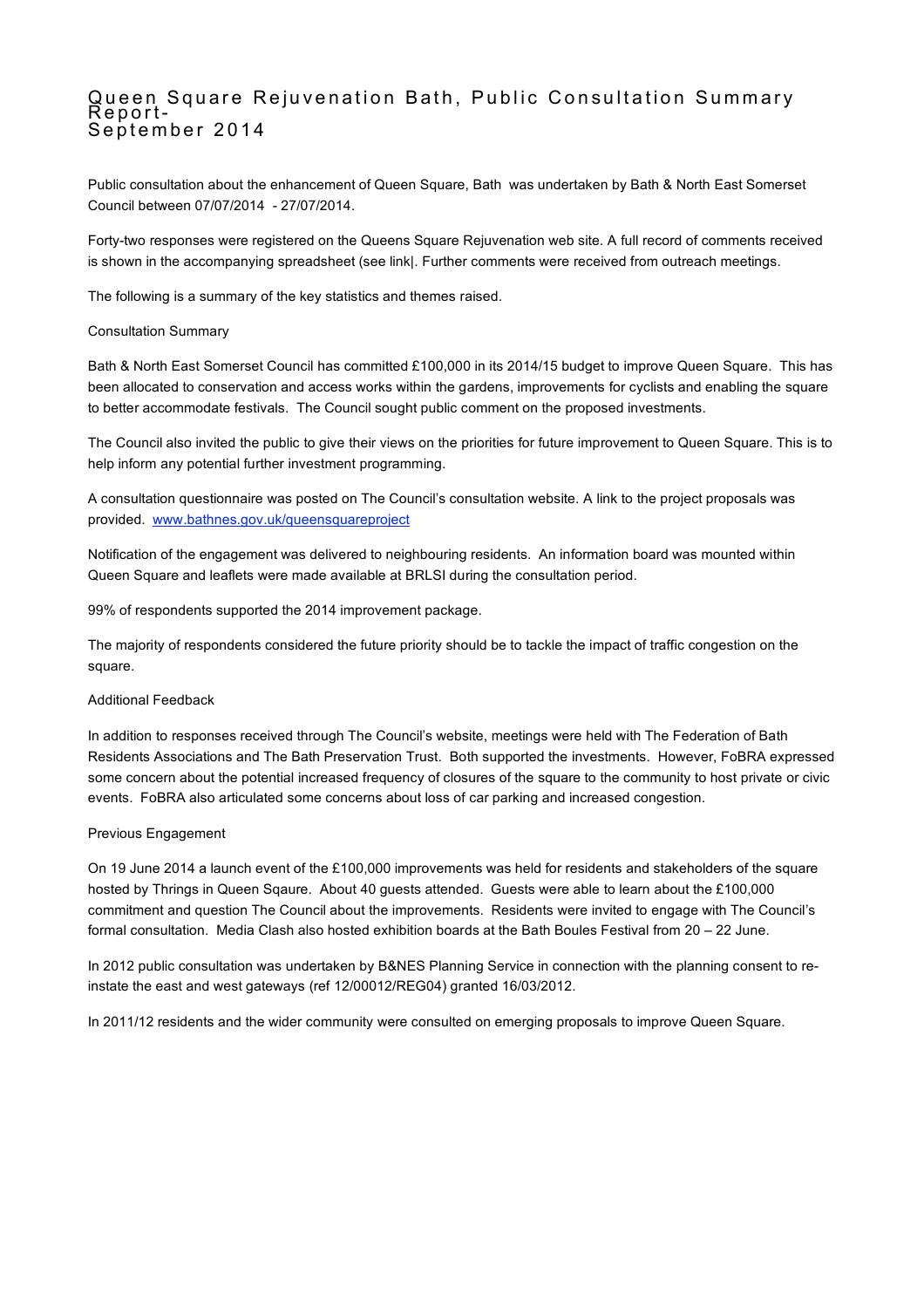# Queen Square Rejuvenation Bath, Public Consultation Summary Report- September 2014

Public consultation about the enhancement of Queen Square, Bath was undertaken by Bath & North East Somerset Council between 07/07/2014 - 27/07/2014.

Forty-two responses were registered on the Queens Square Rejuvenation web site. A full record of comments received is shown in the accompanying spreadsheet (see link|. Further comments were received from outreach meetings.

The following is a summary of the key statistics and themes raised.

### Consultation Summary

Bath & North East Somerset Council has committed £100,000 in its 2014/15 budget to improve Queen Square. This has been allocated to conservation and access works within the gardens, improvements for cyclists and enabling the square to better accommodate festivals. The Council sought public comment on the proposed investments.

The Council also invited the public to give their views on the priorities for future improvement to Queen Square. This is to help inform any potential further investment programming.

A consultation questionnaire was posted on The Council's consultation website. A link to the project proposals was provided. www.bathnes.gov.uk/queensquareproject

Notification of the engagement was delivered to neighbouring residents. An information board was mounted within Queen Square and leaflets were made available at BRLSI during the consultation period.

99% of respondents supported the 2014 improvement package.

The majority of respondents considered the future priority should be to tackle the impact of traffic congestion on the square.

### Additional Feedback

In addition to responses received through The Council's website, meetings were held with The Federation of Bath Residents Associations and The Bath Preservation Trust. Both supported the investments. However, FoBRA expressed some concern about the potential increased frequency of closures of the square to the community to host private or civic events. FoBRA also articulated some concerns about loss of car parking and increased congestion.

#### Previous Engagement

On 19 June 2014 a launch event of the £100,000 improvements was held for residents and stakeholders of the square hosted by Thrings in Queen Sqaure. About 40 guests attended. Guests were able to learn about the £100,000 commitment and question The Council about the improvements. Residents were invited to engage with The Council's formal consultation. Media Clash also hosted exhibition boards at the Bath Boules Festival from 20 – 22 June.

In 2012 public consultation was undertaken by B&NES Planning Service in connection with the planning consent to reinstate the east and west gateways (ref 12/00012/REG04) granted 16/03/2012.

In 2011/12 residents and the wider community were consulted on emerging proposals to improve Queen Square.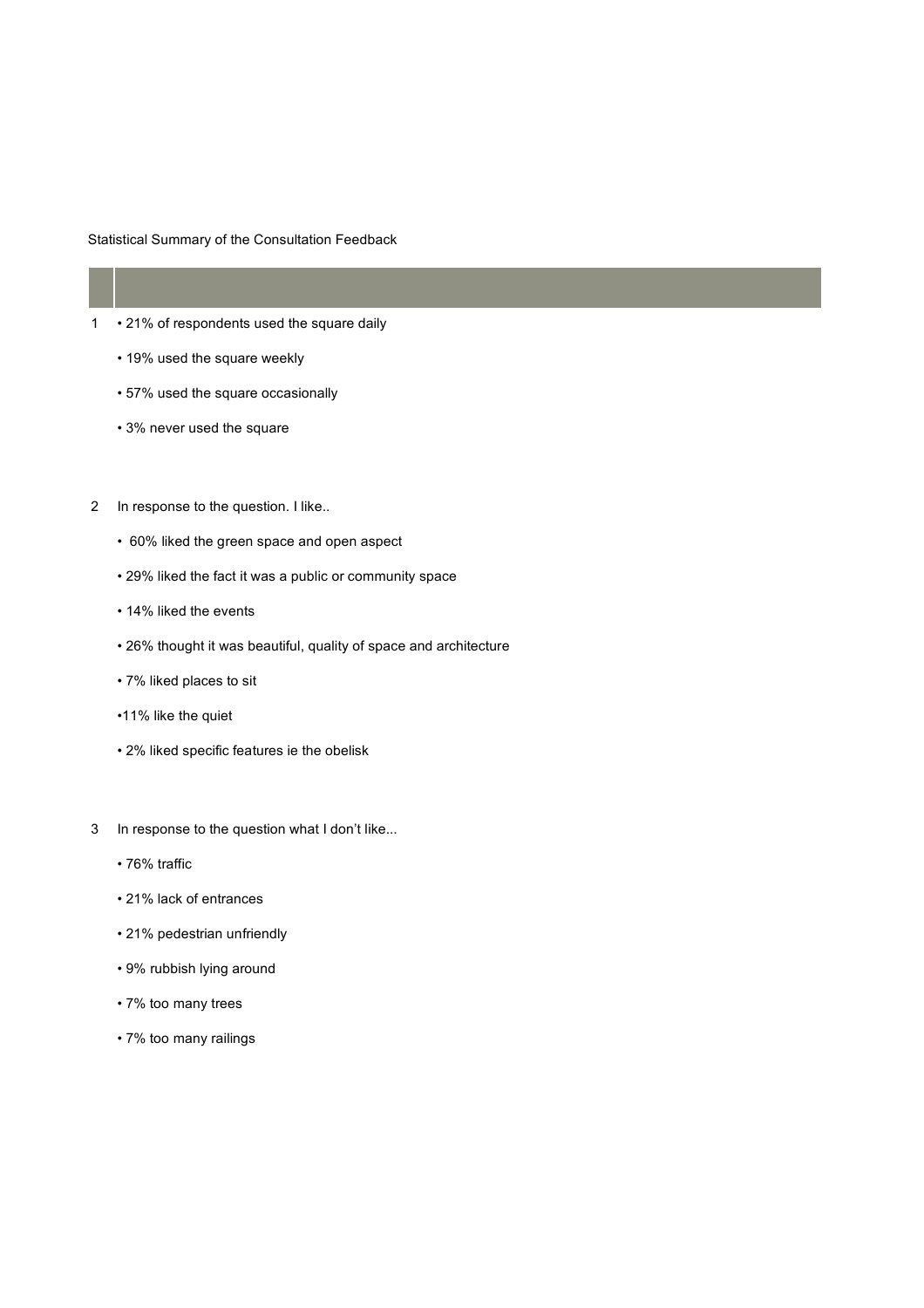Statistical Summary of the Consultation Feedback

## 1 • 21% of respondents used the square daily

- 19% used the square weekly
- 57% used the square occasionally
- 3% never used the square
- 2 In response to the question. I like..
	- 60% liked the green space and open aspect
	- 29% liked the fact it was a public or community space
	- 14% liked the events
	- 26% thought it was beautiful, quality of space and architecture
	- 7% liked places to sit
	- •11% like the quiet
	- 2% liked specific features ie the obelisk
- 3 In response to the question what I don't like...
	- 76% traffic
	- 21% lack of entrances
	- 21% pedestrian unfriendly
	- 9% rubbish lying around
	- 7% too many trees
	- 7% too many railings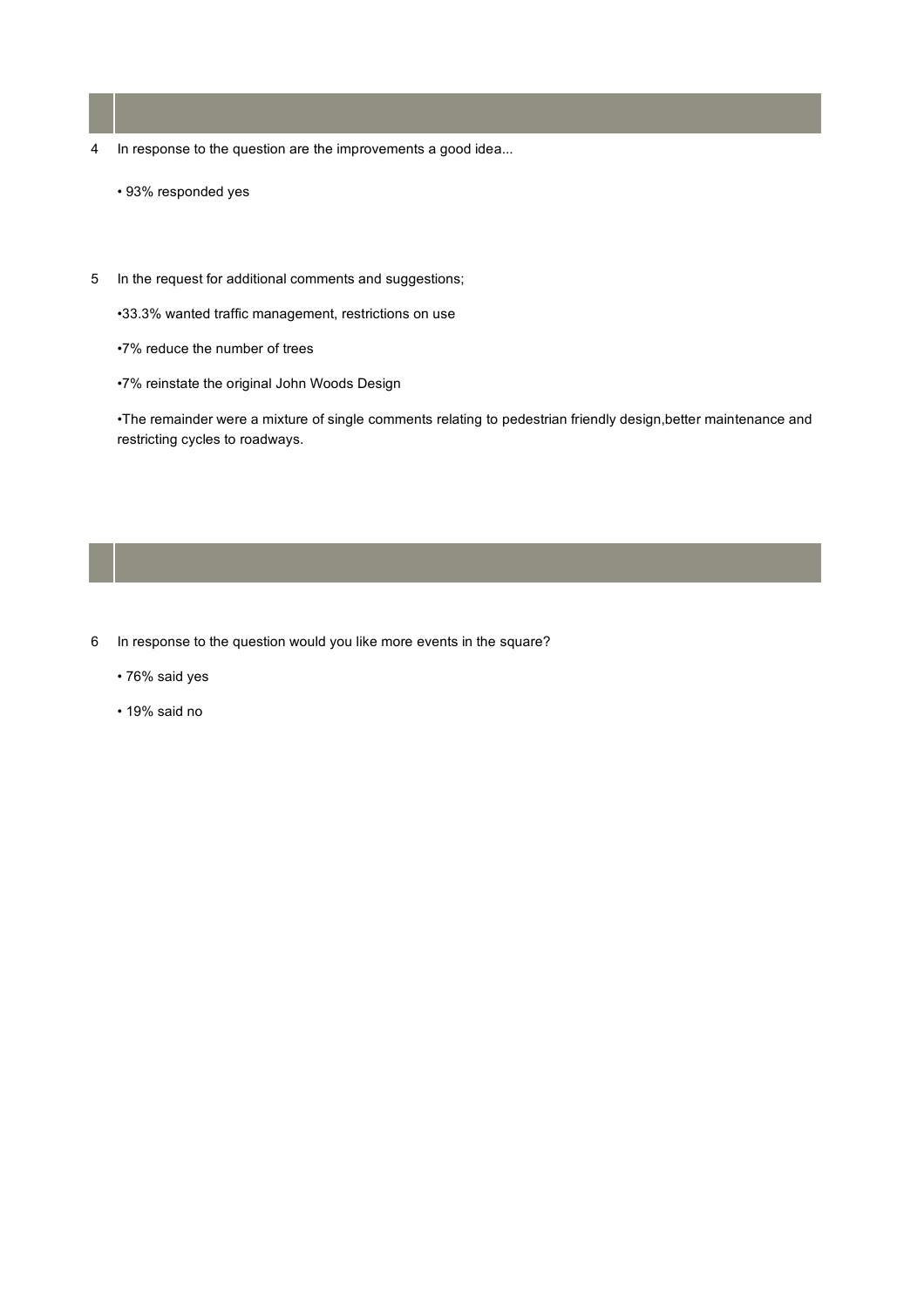- 4 In response to the question are the improvements a good idea...
	- 93% responded yes
- 5 In the request for additional comments and suggestions;

•33.3% wanted traffic management, restrictions on use

- •7% reduce the number of trees
- •7% reinstate the original John Woods Design

•The remainder were a mixture of single comments relating to pedestrian friendly design,better maintenance and restricting cycles to roadways.

- 6 In response to the question would you like more events in the square?
	- 76% said yes
	- 19% said no